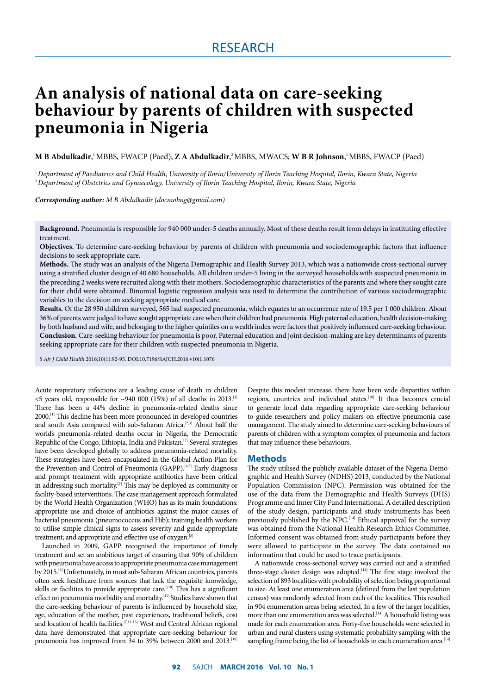# **An analysis of national data on care-seeking behaviour by parents of children with suspected pneumonia in Nigeria**

**M B Abdulkadir**, 1 MBBS, FWACP (Paed); **Z A Abdulkadir**, 2 MBBS, MWACS; **W B R Johnson**, 1 MBBS, FWACP (Paed)

1 *Department of Paediatrics and Child Health, University of Ilorin/University of Ilorin Teaching Hospital, Ilorin, Kwara State, Nigeria* 2 *Department of Obstetrics and Gynaecology, University of Ilorin Teaching Hospital, Ilorin, Kwara State, Nigeria*

*Corresponding author: M B Abdulkadir (docmohng@gmail.com)*

**Background.** Pneumonia is responsible for 940 000 under-5 deaths annually. Most of these deaths result from delays in instituting effective treatment.

**Objectives.** To determine care-seeking behaviour by parents of children with pneumonia and sociodemographic factors that influence decisions to seek appropriate care.

**Methods.** The study was an analysis of the Nigeria Demographic and Health Survey 2013, which was a nationwide cross-sectional survey using a stratified cluster design of 40 680 households. All children under-5 living in the surveyed households with suspected pneumonia in the preceding 2 weeks were recruited along with their mothers. Sociodemographic characteristics of the parents and where they sought care for their child were obtained. Binomial logistic regression analysis was used to determine the contribution of various sociodemographic variables to the decision on seeking appropriate medical care.

Results. Of the 28 950 children surveyed, 565 had suspected pneumonia, which equates to an occurrence rate of 19.5 per 1 000 children. About 36% of parents were judged to have sought appropriate care when their children had pneumonia. High paternal education, health decision-making by both husband and wife, and belonging to the higher quintiles on a wealth index were factors that positively influenced care-seeking behaviour. **Conclusion.** Care-seeking behaviour for pneumonia is poor. Paternal education and joint decision-making are key determinants of parents seeking appropriate care for their children with suspected pneumonia in Nigeria.

*S Afr J Child Health* 2016;10(1):92-95. DOI:10.7196/SAJCH.2016.v10i1.1076

Acute respiratory infections are a leading cause of death in children  $\le$ 5 years old, responsible for  $\sim$ 940 000 (15%) of all deaths in 2013.<sup>[1]</sup> There has been a 44% decline in pneumonia-related deaths since 2000.[1] This decline has been more pronounced in developed countries and south Asia compared with sub-Saharan Africa.<sup>[2,3]</sup> About half the world's pneumonia-related deaths occur in Nigeria, the Democratic Republic of the Congo, Ethiopia, India and Pakistan.<sup>[2]</sup> Several strategies have been developed globally to address pneumonia-related mortality. These strategies have been encapsulated in the Global Action Plan for the Prevention and Control of Pneumonia (GAPP).<sup>[4,5]</sup> Early diagnosis and prompt treatment with appropriate antibiotics have been critical in addressing such mortality.<sup>[2]</sup> This may be deployed as community or facility-based interventions. The case management approach formulated by the World Health Organization (WHO) has as its main foundations: appropriate use and choice of antibiotics against the major causes of bacterial pneumonia (pneumococcus and Hib); training health workers to utilise simple clinical signs to assess severity and guide appropriate treatment; and appropriate and effective use of oxygen.[5]

Launched in 2009, GAPP recognised the importance of timely treatment and set an ambitious target of ensuring that 90% of children with pneumonia have access to appropriate pneumonia case management by 2015.<sup>[6]</sup> Unfortunately, in most sub-Saharan African countries, parents often seek healthcare from sources that lack the requisite knowledge, skills or facilities to provide appropriate care.<sup>[7-9]</sup> This has a significant effect on pneumonia morbidity and mortality.<sup>[10]</sup> Studies have shown that the care-seeking behaviour of parents is influenced by household size, age, education of the mother, past experiences, traditional beliefs, cost and location of health facilities.[7,11-13] West and Central African regional data have demonstrated that appropriate care-seeking behaviour for pneumonia has improved from 34 to 39% between 2000 and 2013.<sup>[10]</sup>

Despite this modest increase, there have been wide disparities within regions, countries and individual states.<sup>[10]</sup> It thus becomes crucial to generate local data regarding appropriate care-seeking behaviour to guide researchers and policy makers on effective pneumonia case management. The study aimed to determine care-seeking behaviours of parents of children with a symptom complex of pneumonia and factors that may influence these behaviours.

#### **Methods**

The study utilised the publicly available dataset of the Nigeria Demographic and Health Survey (NDHS) 2013, conducted by the National Population Commission (NPC). Permission was obtained for the use of the data from the Demographic and Health Surveys (DHS) Programme and Inner City Fund International. A detailed description of the study design, participants and study instruments has been previously published by the NPC.<sup>[14]</sup> Ethical approval for the survey was obtained from the National Health Research Ethics Committee. Informed consent was obtained from study participants before they were allowed to participate in the survey. The data contained no information that could be used to trace participants.

A nationwide cross-sectional survey was carried out and a stratified three-stage cluster design was adopted.<sup>[14]</sup> The first stage involved the selection of 893 localities with probability of selection being proportional to size. At least one enumeration area (defined from the last population census) was randomly selected from each of the localities. This resulted in 904 enumeration areas being selected. In a few of the larger localities, more than one enumeration area was selected.<sup>[14]</sup> A household listing was made for each enumeration area. Forty-five households were selected in urban and rural clusters using systematic probability sampling with the sampling frame being the list of households in each enumeration area.<sup>[14]</sup>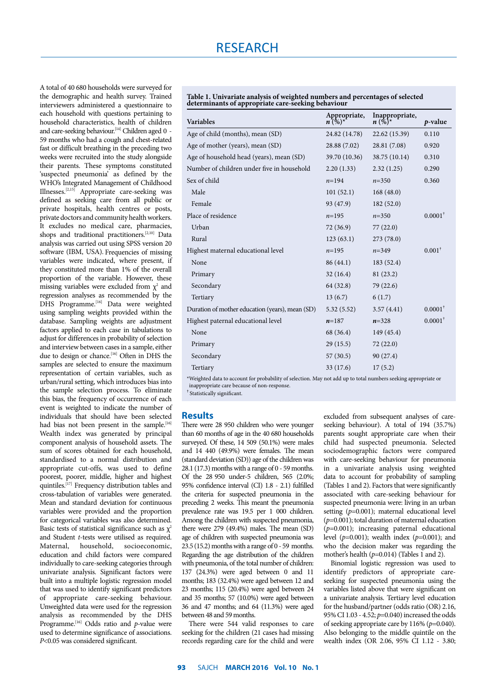A total of 40 680 households were surveyed for the demographic and health survey. Trained interviewers administered a questionnaire to each household with questions pertaining to household characteristics, health of children and care-seeking behaviour.<sup>[14]</sup> Children aged 0 -59 months who had a cough and chest-related fast or difficult breathing in the preceding two weeks were recruited into the study alongside their parents. These symptoms constituted 'suspected pneumonia' as defined by the WHO's Integrated Management of Childhood Illnesses.<sup>[2,15]</sup> Appropriate care-seeking was defined as seeking care from all public or private hospitals, health centres or posts, private doctors and community health workers. It excludes no medical care, pharmacies, shops and traditional practitioners.<sup>[2,10]</sup> Data analysis was carried out using SPSS version 20 software (IBM, USA). Frequencies of missing variables were indicated, where present, if they constituted more than 1% of the overall proportion of the variable. However, these missing variables were excluded from  $\chi^2$  and regression analyses as recommended by the DHS Programme.<sup>[16]</sup> Data were weighted using sampling weights provided within the database. Sampling weights are adjustment factors applied to each case in tabulations to adjust for differences in probability of selection and interview between cases in a sample, either due to design or chance.<sup>[16]</sup> Often in DHS the samples are selected to ensure the maximum representation of certain variables, such as urban/rural setting, which introduces bias into the sample selection process. To eliminate this bias, the frequency of occurrence of each event is weighted to indicate the number of individuals that should have been selected had bias not been present in the sample.<sup>[16]</sup> Wealth index was generated by principal component analysis of household assets. The sum of scores obtained for each household, standardised to a normal distribution and appropriate cut-offs, was used to define poorest, poorer, middle, higher and highest quintiles.<sup>[17]</sup> Frequency distribution tables and cross-tabulation of variables were generated. Mean and standard deviation for continuous variables were provided and the proportion for categorical variables was also determined. Basic tests of statistical significance such as  $x^2$ and Student *t*-tests were utilised as required.<br>Maternal, household, socioeconomic, Maternal, household, education and child factors were compared individually to care-seeking categories through univariate analysis. Significant factors were built into a multiple logistic regression model that was used to identify significant predictors of appropriate care-seeking behaviour. Unweighted data were used for the regression analysis as recommended by the DHS Programme.[16] Odds ratio and *p-*value were used to determine significance of associations. *P*<0.05 was considered significant.

#### **Table 1. Univariate analysis of weighted numbers and percentages of selected determinants of appropriate care-seeking behaviour**

| <b>Variables</b>                                | Appropriate,<br>$n \bar{(\%)}^*$                                                                                                                                                                                                                                                                            | Inappropriate,<br>$n \left( \sqrt[6]{6} \right)^*$ | $p$ -value            |
|-------------------------------------------------|-------------------------------------------------------------------------------------------------------------------------------------------------------------------------------------------------------------------------------------------------------------------------------------------------------------|----------------------------------------------------|-----------------------|
| Age of child (months), mean (SD)                | 24.82 (14.78)                                                                                                                                                                                                                                                                                               | 22.62 (15.39)                                      | 0.110                 |
| Age of mother (years), mean (SD)                | 28.88 (7.02)                                                                                                                                                                                                                                                                                                | 28.81 (7.08)                                       | 0.920                 |
| Age of household head (years), mean (SD)        | 39.70 (10.36)                                                                                                                                                                                                                                                                                               | 38.75 (10.14)                                      | 0.310                 |
| Number of children under five in household      | 2.20(1.33)                                                                                                                                                                                                                                                                                                  | 2.32(1.25)                                         | 0.290                 |
| Sex of child                                    | $n = 194$                                                                                                                                                                                                                                                                                                   | $n = 350$                                          | 0.360                 |
| Male                                            | 101(52.1)                                                                                                                                                                                                                                                                                                   | 168(48.0)                                          |                       |
| Female                                          | 93 (47.9)                                                                                                                                                                                                                                                                                                   | 182(52.0)                                          |                       |
| Place of residence                              | $n = 195$                                                                                                                                                                                                                                                                                                   | $n = 350$                                          | $0.0001$ <sup>†</sup> |
| Urban                                           | 72(36.9)                                                                                                                                                                                                                                                                                                    | 77(22.0)                                           |                       |
| Rural                                           | 123(63.1)                                                                                                                                                                                                                                                                                                   | 273(78.0)                                          |                       |
| Highest maternal educational level              | $n=195$                                                                                                                                                                                                                                                                                                     | $n = 349$                                          | $0.001^+$             |
| None                                            | 86(44.1)                                                                                                                                                                                                                                                                                                    | 183 (52.4)                                         |                       |
| Primary                                         | 32(16.4)                                                                                                                                                                                                                                                                                                    | 81(23.2)                                           |                       |
| Secondary                                       | 64 (32.8)                                                                                                                                                                                                                                                                                                   | 79 (22.6)                                          |                       |
| Tertiary                                        | 13(6.7)                                                                                                                                                                                                                                                                                                     | 6(1.7)                                             |                       |
| Duration of mother education (years), mean (SD) | 5.32(5.52)                                                                                                                                                                                                                                                                                                  | 3.57(4.41)                                         | $0.0001^{\dagger}$    |
| Highest paternal educational level              | $n = 187$                                                                                                                                                                                                                                                                                                   | $n = 328$                                          | $0.0001^{\dagger}$    |
| None                                            | 68 (36.4)                                                                                                                                                                                                                                                                                                   | 149 (45.4)                                         |                       |
| Primary                                         | 29(15.5)                                                                                                                                                                                                                                                                                                    | 72(22.0)                                           |                       |
| Secondary                                       | 57(30.5)                                                                                                                                                                                                                                                                                                    | 90(27.4)                                           |                       |
| Tertiary                                        | 33(17.6)                                                                                                                                                                                                                                                                                                    | 17(5.2)                                            |                       |
|                                                 | $\mathbf{v}$ , $\mathbf{v}$ , $\mathbf{v}$ , $\mathbf{v}$ , $\mathbf{v}$ , $\mathbf{v}$ , $\mathbf{v}$ , $\mathbf{v}$ , $\mathbf{v}$ , $\mathbf{v}$ , $\mathbf{v}$ , $\mathbf{v}$ , $\mathbf{v}$ , $\mathbf{v}$ , $\mathbf{v}$ , $\mathbf{v}$ , $\mathbf{v}$ , $\mathbf{v}$ , $\mathbf{v}$ , $\mathbf{v}$ , |                                                    |                       |

Weighted data to account for probability of selection. May not add up to total numbers seeking appropriate or inappropriate care because of non-response.

† Statistically significant.

## **Results**

There were 28 950 children who were younger than 60 months of age in the 40 680 households surveyed. Of these, 14 509 (50.1%) were males and 14 440 (49.9%) were females. The mean (standard deviation (SD)) age of the children was 28.1 (17.3) months with a range of 0 - 59 months. Of the 28 950 under-5 children, 565 (2.0%; 95% confidence interval (CI) 1.8 - 2.1) fulfilled the criteria for suspected pneumonia in the preceding 2 weeks. This meant the pneumonia prevalence rate was 19.5 per 1 000 children. Among the children with suspected pneumonia, there were 279 (49.4%) males. The mean (SD) age of children with suspected pneumonia was 23.5 (15.2) months with a range of 0 - 59 months. Regarding the age distribution of the children with pneumonia, of the total number of children: 137 (24.3%) were aged between 0 and 11 months; 183 (32.4%) were aged between 12 and 23 months; 115 (20.4%) were aged between 24 and 35 months; 57 (10.0%) were aged between 36 and 47 months; and 64 (11.3%) were aged between 48 and 59 months.

There were 544 valid responses to care seeking for the children (21 cases had missing records regarding care for the child and were

excluded from subsequent analyses of careseeking behaviour). A total of 194 (35.7%) parents sought appropriate care when their child had suspected pneumonia. Selected sociodemographic factors were compared with care-seeking behaviour for pneumonia in a univariate analysis using weighted data to account for probability of sampling (Tables 1 and 2). Factors that were significantly associated with care-seeking behaviour for suspected pneumonia were: living in an urban setting (*p*=0.001); maternal educational level (*p*=0.001); total duration of maternal education (*p*=0.001); increasing paternal educational level ( $p=0.001$ ); wealth index ( $p=0.001$ ); and who the decision maker was regarding the mother's health  $(p=0.014)$  (Tables 1 and 2).

Binomial logistic regression was used to identify predictors of appropriate careseeking for suspected pneumonia using the variables listed above that were significant on a univariate analysis. Tertiary level education for the husband/partner (odds ratio (OR) 2.16, 95% CI 1.03 - 4.52; *p*=0.040) increased the odds of seeking appropriate care by 116% (*p*=0.040). Also belonging to the middle quintile on the wealth index (OR 2.06, 95% CI 1.12 - 3.80;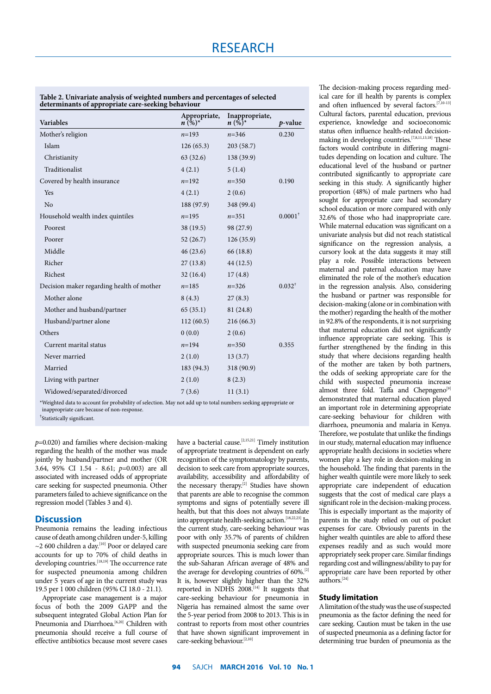**Table 2. Univariate analysis of weighted numbers and percentages of selected determinants of appropriate care-seeking behaviour**

| Variables                                 | Appropriate,<br>$n(0)$ <sup>*</sup> | Inappropriate,<br>$n \, (\%)^*$ | p-value           |
|-------------------------------------------|-------------------------------------|---------------------------------|-------------------|
| Mother's religion                         | $n=193$                             | $n = 346$                       | 0.230             |
| Islam                                     | 126(65.3)                           | 203(58.7)                       |                   |
| Christianity                              | 63(32.6)                            | 138 (39.9)                      |                   |
| Traditionalist                            | 4(2.1)                              | 5(1.4)                          |                   |
| Covered by health insurance               | $n=192$                             | $n = 350$                       | 0.190             |
| Yes                                       | 4(2.1)                              | 2(0.6)                          |                   |
| No                                        | 188 (97.9)                          | 348 (99.4)                      |                   |
| Household wealth index quintiles          | $n=195$                             | $n = 351$                       | $0.0001^+$        |
| Poorest                                   | 38(19.5)                            | 98 (27.9)                       |                   |
| Poorer                                    | 52(26.7)                            | 126(35.9)                       |                   |
| Middle                                    | 46(23.6)                            | 66 (18.8)                       |                   |
| Richer                                    | 27(13.8)                            | 44 (12.5)                       |                   |
| Richest                                   | 32(16.4)                            | 17(4.8)                         |                   |
| Decision maker regarding health of mother | $n=185$                             | $n = 326$                       | $0.032^{\dagger}$ |
| Mother alone                              | 8(4.3)                              | 27(8.3)                         |                   |
| Mother and husband/partner                | 65(35.1)                            | 81 (24.8)                       |                   |
| Husband/partner alone                     | 112(60.5)                           | 216(66.3)                       |                   |
| Others                                    | 0(0.0)                              | 2(0.6)                          |                   |
| Current marital status                    | $n=194$                             | $n = 350$                       | 0.355             |
| Never married                             | 2(1.0)                              | 13(3.7)                         |                   |
| Married                                   | 183 (94.3)                          | 318 (90.9)                      |                   |
| Living with partner                       | 2(1.0)                              | 8(2.3)                          |                   |
| Widowed/separated/divorced                | 7(3.6)                              | 11(3.1)                         |                   |
|                                           |                                     |                                 |                   |

\*Weighted data to account for probability of selection. May not add up to total numbers seeking appropriate or inappropriate care because of non-response.

† Statistically significant.

*p*=0.020) and families where decision-making regarding the health of the mother was made jointly by husband/partner and mother (OR 3.64, 95% CI 1.54 - 8.61; *p*=0.003) are all associated with increased odds of appropriate care seeking for suspected pneumonia. Other parameters failed to achieve significance on the regression model (Tables 3 and 4).

## **Discussion**

Pneumonia remains the leading infectious cause of death among children under-5, killing  $\sim$ 2 600 children a day.<sup>[10]</sup> Poor or delayed care accounts for up to 70% of child deaths in developing countries.<sup>[18,19]</sup> The occurrence rate for suspected pneumonia among children under 5 years of age in the current study was 19.5 per 1 000 children (95% CI 18.0 - 21.1).

Appropriate case management is a major focus of both the 2009 GAPP and the subsequent integrated Global Action Plan for Pneumonia and Diarrhoea.<sup>[6,20]</sup> Children with pneumonia should receive a full course of effective antibiotics because most severe cases

have a bacterial cause.<sup>[2,15,21]</sup> Timely institution of appropriate treatment is dependent on early recognition of the symptomatology by parents, decision to seek care from appropriate sources, availability, accessibility and affordability of the necessary therapy.<sup>[2]</sup> Studies have shown that parents are able to recognise the common symptoms and signs of potentially severe ill health, but that this does not always translate into appropriate health-seeking action.<sup>[18,22,23]</sup> In the current study, care-seeking behaviour was poor with only 35.7% of parents of children with suspected pneumonia seeking care from appropriate sources. This is much lower than the sub-Saharan African average of 48% and the average for developing countries of 60%.<sup>[2]</sup> It is, however slightly higher than the 32% reported in NDHS  $2008$ <sup>[14]</sup> It suggests that care-seeking behaviour for pneumonia in Nigeria has remained almost the same over the 5-year period from 2008 to 2013. This is in contrast to reports from most other countries that have shown significant improvement in care-seeking behaviour.<sup>[2,10]</sup>

The decision-making process regarding medical care for ill health by parents is complex and often influenced by several factors.<sup>[7,10-13]</sup> Cultural factors, parental education, previous experience, knowledge and socioeconomic status often influence health-related decisionmaking in developing countries.[7,8,11,13,18] These factors would contribute in differing magnitudes depending on location and culture. The educational level of the husband or partner contributed significantly to appropriate care seeking in this study. A significantly higher proportion (48%) of male partners who had sought for appropriate care had secondary school education or more compared with only 32.6% of those who had inappropriate care. While maternal education was significant on a univariate analysis but did not reach statistical significance on the regression analysis, a cursory look at the data suggests it may still play a role. Possible interactions between maternal and paternal education may have eliminated the role of the mother's education in the regression analysis. Also, considering the husband or partner was responsible for decision-making (alone or in combination with the mother) regarding the health of the mother in 92.8% of the respondents, it is not surprising that maternal education did not significantly influence appropriate care seeking. This is further strengthened by the finding in this study that where decisions regarding health of the mother are taken by both partners, the odds of seeking appropriate care for the child with suspected pneumonia increase almost three fold. Taffa and Chepngeno<sup>[9]</sup> demonstrated that maternal education played an important role in determining appropriate care-seeking behaviour for children with diarrhoea, pneumonia and malaria in Kenya. Therefore, we postulate that unlike the findings in our study, maternal education may influence appropriate health decisions in societies where women play a key role in decision-making in the household. The finding that parents in the higher wealth quintile were more likely to seek appropriate care independent of education suggests that the cost of medical care plays a significant role in the decision-making process. This is especially important as the majority of parents in the study relied on out of pocket expenses for care. Obviously parents in the higher wealth quintiles are able to afford these expenses readily and as such would more appropriately seek proper care. Similar findings regarding cost and willingness/ability to pay for appropriate care have been reported by other authors.<sup>[24]</sup>

## **Study limitation**

A limitation of the study was the use of suspected pneumonia as the factor defining the need for care seeking. Caution must be taken in the use of suspected pneumonia as a defining factor for determining true burden of pneumonia as the